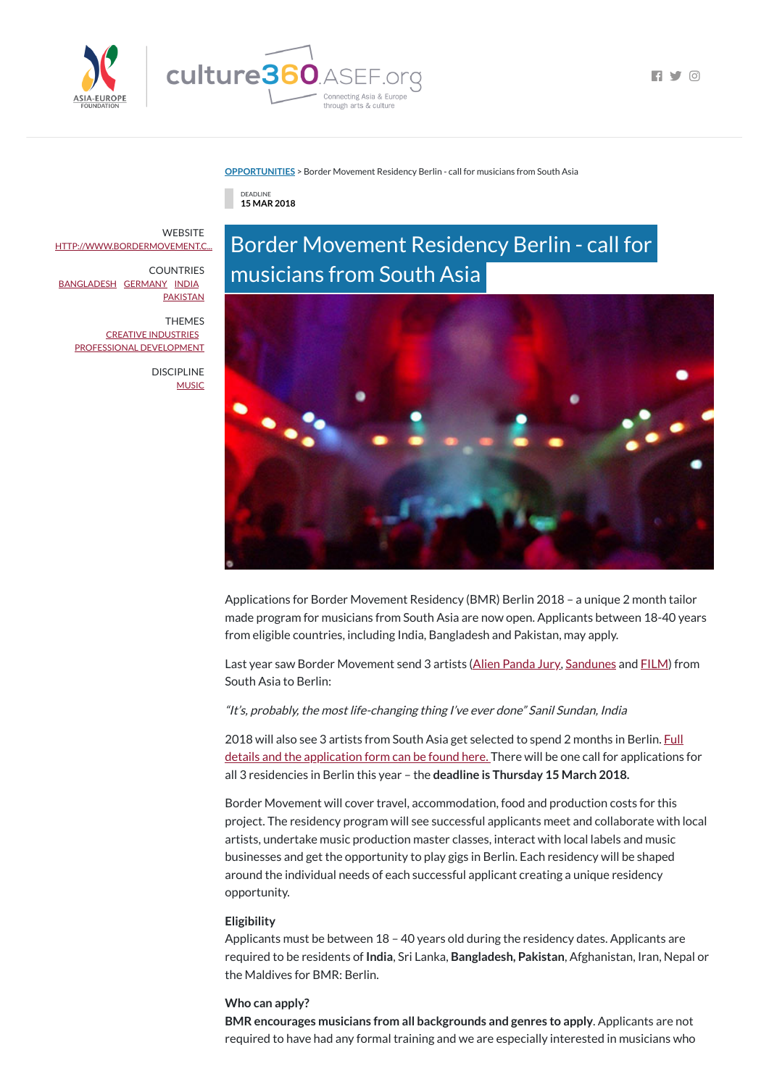

 $\blacksquare$ 

#### **[OPPORTUNITIES](https://culture360.asef.org/opportunities/)** > Border Movement Residency Berlin - call for musicians from South Asia

through arts & culture

DEADLINE **15 MAR 2018**

# Border Movement Residency Berlin - call for musicians from South Asia



Last year saw Border Movement send 3 artists (Alien [Panda](http://www.bordermovement.com/artists/alien-panda-jury/) Jury, [Sandunes](http://www.bordermovement.com/artists/sandunes/) and [FILM\)](http://www.bordermovement.com/artists/film/) from South Asia to Berlin:

Applications for Border Movement Residency (BMR) Berlin 2018 – a unique 2 month tailor made program for musicians from South Asia are now open. Applicants between 18-40 years from eligible countries, including India, Bangladesh and Pakistan, may apply.

2018 will also see 3 artists from South Asia get selected to spend 2 months in Berlin. Full details and the application form can be found here. There will be one call for [applications](http://www.bordermovement.com/projects/border-movement-residency/) for all 3 residencies in Berlin this year – the **deadline is Thursday 15 March 2018.**

"It's, probably, the most life-changing thing I've ever done" Sanil Sundan, India

**WEBSITE** [HTTP://WWW.BORDERMOVEMENT.C...](http://www.bordermovement.com/call-applications-border-movement-residency-berlin-2018/)

**COUNTRIES** [BANGLADESH](https://culture360.asef.org/countries/bangladesh/) [GERMANY](https://culture360.asef.org/countries/germany/) [INDIA](https://culture360.asef.org/countries/india/) **[PAKISTAN](https://culture360.asef.org/countries/pakistan/)** 

> DISCIPLINE **[MUSIC](https://culture360.asef.org/disciplines/music/)**

> > Border Movement will cover travel, accommodation, food and production costs for this project. The residency program will see successful applicants meet and collaborate with local artists, undertake music production master classes, interact with local labels and music businesses and get the opportunity to play gigs in Berlin. Each residency will be shaped around the individual needs of each successful applicant creating a unique residency opportunity.

#### **Eligibility**

Applicants must be between 18 – 40 years old during the residency dates. Applicants are required to be residents of **India**, Sri Lanka, **Bangladesh, Pakistan**, Afghanistan, Iran, Nepal or the Maldives for BMR: Berlin.

#### **Who can apply?**

**BMR encourages musicians from all backgrounds and genres to apply**. Applicants are not required to have had any formal training and we are especially interested in musicians who

THEMES CREATIVE [INDUSTRIES](https://culture360.asef.org/themes/creative-industries/) PROFESSIONAL [DEVELOPMENT](https://culture360.asef.org/themes/professional-development/)